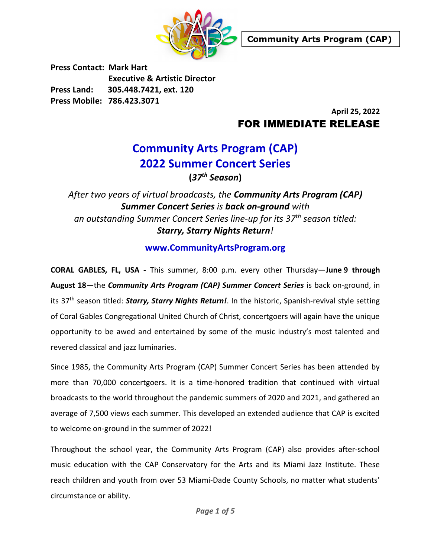

Press Contact: Mark Hart Executive & Artistic Director Press Land: 305.448.7421, ext. 120 Press Mobile: 786.423.3071

> April 25, 2022 FOR IMMEDIATE RELEASE

# Community Arts Program (CAP) 2022 Summer Concert Series

 $(37<sup>th</sup>$  Season)

### After two years of virtual broadcasts, the **Community Arts Program (CAP)** Summer Concert Series is back on-ground with an outstanding Summer Concert Series line-up for its 37<sup>th</sup> season titled: Starry, Starry Nights Return!

#### www.CommunityArtsProgram.org

CORAL GABLES, FL, USA - This summer, 8:00 p.m. every other Thursday—June 9 through August 18—the Community Arts Program (CAP) Summer Concert Series is back on-ground, in its 37<sup>th</sup> season titled: *Starry, Starry Nights Return!*. In the historic, Spanish-revival style setting of Coral Gables Congregational United Church of Christ, concertgoers will again have the unique opportunity to be awed and entertained by some of the music industry's most talented and revered classical and jazz luminaries.

Since 1985, the Community Arts Program (CAP) Summer Concert Series has been attended by more than 70,000 concertgoers. It is a time-honored tradition that continued with virtual broadcasts to the world throughout the pandemic summers of 2020 and 2021, and gathered an average of 7,500 views each summer. This developed an extended audience that CAP is excited to welcome on-ground in the summer of 2022!

Throughout the school year, the Community Arts Program (CAP) also provides after-school music education with the CAP Conservatory for the Arts and its Miami Jazz Institute. These reach children and youth from over 53 Miami-Dade County Schools, no matter what students' circumstance or ability.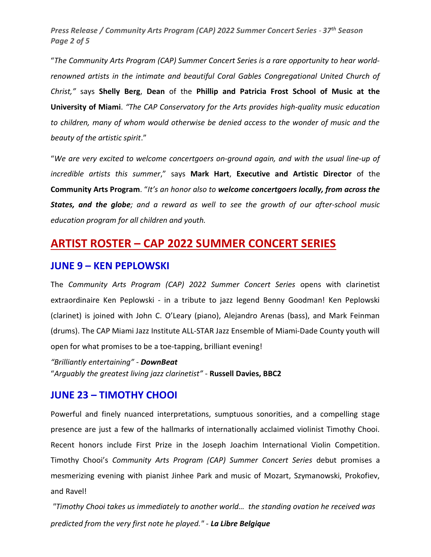Press Release / Community Arts Program (CAP) 2022 Summer Concert Series - 37<sup>th</sup> Season Page 2 of 5

"The Community Arts Program (CAP) Summer Concert Series is a rare opportunity to hear worldrenowned artists in the intimate and beautiful Coral Gables Congregational United Church of Christ," says Shelly Berg, Dean of the Phillip and Patricia Frost School of Music at the University of Miami. "The CAP Conservatory for the Arts provides high-quality music education to children, many of whom would otherwise be denied access to the wonder of music and the beauty of the artistic spirit."

"We are very excited to welcome concertgoers on-ground again, and with the usual line-up of incredible artists this summer," says Mark Hart, Executive and Artistic Director of the Community Arts Program. "It's an honor also to welcome concertgoers locally, from across the States, and the globe; and a reward as well to see the growth of our after-school music education program for all children and youth.

### ARTIST ROSTER – CAP 2022 SUMMER CONCERT SERIES

#### JUNE 9 – KEN PEPLOWSKI

The Community Arts Program (CAP) 2022 Summer Concert Series opens with clarinetist extraordinaire Ken Peplowski - in a tribute to jazz legend Benny Goodman! Ken Peplowski (clarinet) is joined with John C. O'Leary (piano), Alejandro Arenas (bass), and Mark Feinman (drums). The CAP Miami Jazz Institute ALL-STAR Jazz Ensemble of Miami-Dade County youth will open for what promises to be a toe-tapping, brilliant evening!

"Brilliantly entertaining" - DownBeat "Arguably the greatest living jazz clarinetist" - Russell Davies, BBC2

#### JUNE 23 – TIMOTHY CHOOI

Powerful and finely nuanced interpretations, sumptuous sonorities, and a compelling stage presence are just a few of the hallmarks of internationally acclaimed violinist Timothy Chooi. Recent honors include First Prize in the Joseph Joachim International Violin Competition. Timothy Chooi's Community Arts Program (CAP) Summer Concert Series debut promises a mesmerizing evening with pianist Jinhee Park and music of Mozart, Szymanowski, Prokofiev, and Ravel!

 "Timothy Chooi takes us immediately to another world… the standing ovation he received was predicted from the very first note he played." - La Libre Belgique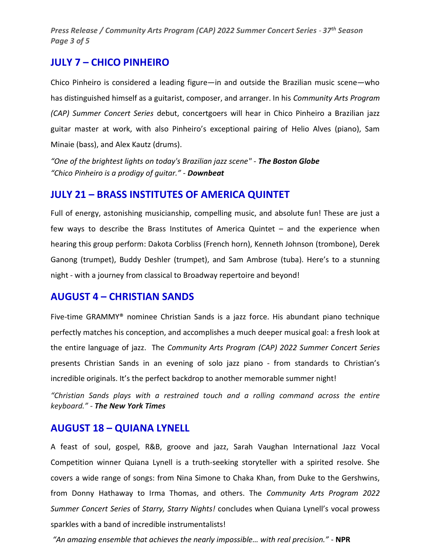Press Release / Community Arts Program (CAP) 2022 Summer Concert Series - 37<sup>th</sup> Season Page 3 of 5

#### JULY 7 – CHICO PINHEIRO

Chico Pinheiro is considered a leading figure—in and outside the Brazilian music scene—who has distinguished himself as a guitarist, composer, and arranger. In his *Community Arts Program* (CAP) Summer Concert Series debut, concertgoers will hear in Chico Pinheiro a Brazilian jazz guitar master at work, with also Pinheiro's exceptional pairing of Helio Alves (piano), Sam Minaie (bass), and Alex Kautz (drums).

"One of the brightest lights on today's Brazilian jazz scene" - The Boston Globe "Chico Pinheiro is a prodigy of guitar." - Downbeat

#### JULY 21 – BRASS INSTITUTES OF AMERICA QUINTET

Full of energy, astonishing musicianship, compelling music, and absolute fun! These are just a few ways to describe the Brass Institutes of America Quintet – and the experience when hearing this group perform: Dakota Corbliss (French horn), Kenneth Johnson (trombone), Derek Ganong (trumpet), Buddy Deshler (trumpet), and Sam Ambrose (tuba). Here's to a stunning night - with a journey from classical to Broadway repertoire and beyond!

#### AUGUST 4 – CHRISTIAN SANDS

Five-time GRAMMY® nominee Christian Sands is a jazz force. His abundant piano technique perfectly matches his conception, and accomplishes a much deeper musical goal: a fresh look at the entire language of jazz. The Community Arts Program (CAP) 2022 Summer Concert Series presents Christian Sands in an evening of solo jazz piano - from standards to Christian's incredible originals. It's the perfect backdrop to another memorable summer night!

"Christian Sands plays with a restrained touch and a rolling command across the entire keyboard." - The New York Times

#### AUGUST 18 – QUIANA LYNELL

A feast of soul, gospel, R&B, groove and jazz, Sarah Vaughan International Jazz Vocal Competition winner Quiana Lynell is a truth-seeking storyteller with a spirited resolve. She covers a wide range of songs: from Nina Simone to Chaka Khan, from Duke to the Gershwins, from Donny Hathaway to Irma Thomas, and others. The Community Arts Program 2022 Summer Concert Series of Starry, Starry Nights! concludes when Quiana Lynell's vocal prowess sparkles with a band of incredible instrumentalists!

"An amazing ensemble that achieves the nearly impossible… with real precision." - NPR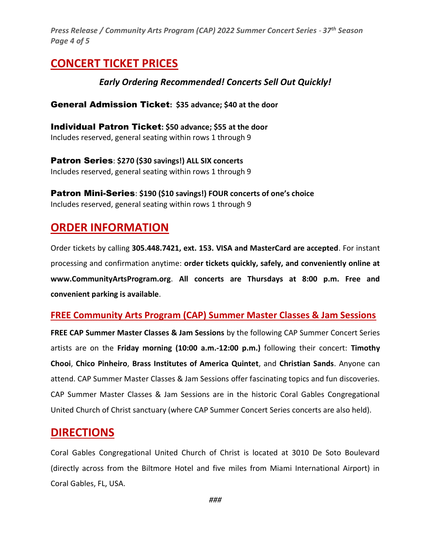Press Release / Community Arts Program (CAP) 2022 Summer Concert Series - 37<sup>th</sup> Season Page 4 of 5

# CONCERT TICKET PRICES

#### Early Ordering Recommended! Concerts Sell Out Quickly!

#### General Admission Ticket: \$35 advance; \$40 at the door

Individual Patron Ticket: \$50 advance; \$55 at the door Includes reserved, general seating within rows 1 through 9

Patron Series: \$270 (\$30 savings!) ALL SIX concerts Includes reserved, general seating within rows 1 through 9

Patron Mini-Series: \$190 (\$10 savings!) FOUR concerts of one's choice Includes reserved, general seating within rows 1 through 9

# ORDER INFORMATION

Order tickets by calling 305.448.7421, ext. 153. VISA and MasterCard are accepted. For instant processing and confirmation anytime: order tickets quickly, safely, and conveniently online at www.CommunityArtsProgram.org. All concerts are Thursdays at 8:00 p.m. Free and convenient parking is available.

#### FREE Community Arts Program (CAP) Summer Master Classes & Jam Sessions

FREE CAP Summer Master Classes & Jam Sessions by the following CAP Summer Concert Series artists are on the Friday morning (10:00 a.m.-12:00 p.m.) following their concert: Timothy Chooi, Chico Pinheiro, Brass Institutes of America Quintet, and Christian Sands. Anyone can attend. CAP Summer Master Classes & Jam Sessions offer fascinating topics and fun discoveries. CAP Summer Master Classes & Jam Sessions are in the historic Coral Gables Congregational United Church of Christ sanctuary (where CAP Summer Concert Series concerts are also held).

### **DIRECTIONS**

Coral Gables Congregational United Church of Christ is located at 3010 De Soto Boulevard (directly across from the Biltmore Hotel and five miles from Miami International Airport) in Coral Gables, FL, USA.